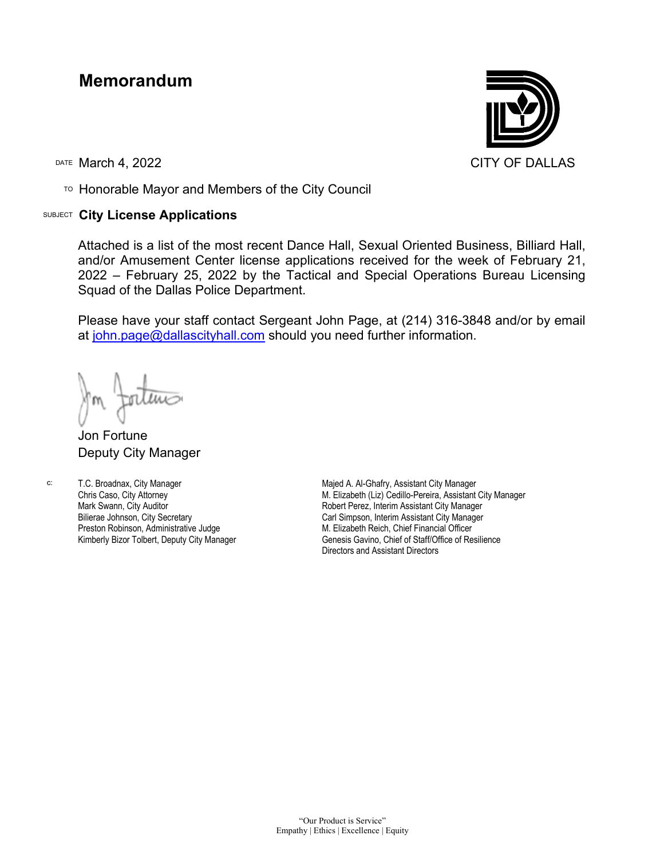## **Memorandum**

TO Honorable Mayor and Members of the City Council

## SUBJECT **City License Applications**



Attached is a list of the most recent Dance Hall, Sexual Oriented Business, Billiard Hall, and/or Amusement Center license applications received for the week of February 21, 2022 – February 25, 2022 by the Tactical and Special Operations Bureau Licensing Squad of the Dallas Police Department.

Please have your staff contact Sergeant John Page, at (214) 316-3848 and/or by email at [john.page@dallascityhall.com](mailto:john.page@dallascityhall.com) should you need further information.

Jon Fortune Deputy City Manager

c: T.C. Broadnax, City Manager Chris Caso, City Attorney Mark Swann, City Auditor Bilierae Johnson, City Secretary Preston Robinson, Administrative Judge Kimberly Bizor Tolbert, Deputy City Manager Majed A. Al-Ghafry, Assistant City Manager M. Elizabeth (Liz) Cedillo-Pereira, Assistant City Manager Robert Perez, Interim Assistant City Manager Carl Simpson, Interim Assistant City Manager M. Elizabeth Reich, Chief Financial Officer Genesis Gavino, Chief of Staff/Office of Resilience Directors and Assistant Directors